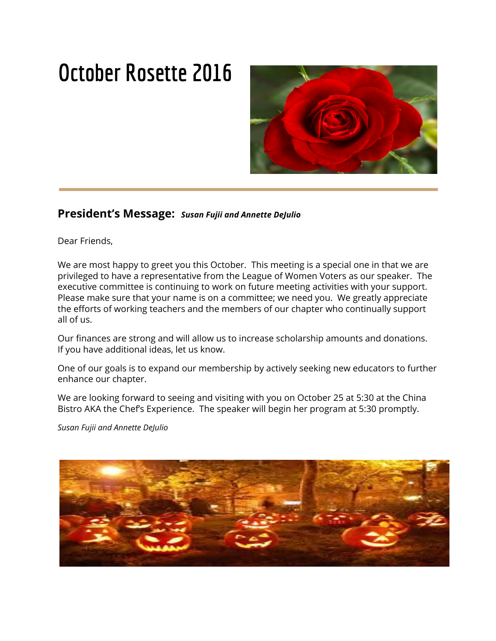# **October Rosette 2016**



### **President's Message:** *Susan Fujii and Annette DeJulio*

Dear Friends,

We are most happy to greet you this October. This meeting is a special one in that we are privileged to have a representative from the League of Women Voters as our speaker. The executive committee is continuing to work on future meeting activities with your support. Please make sure that your name is on a committee; we need you. We greatly appreciate the efforts of working teachers and the members of our chapter who continually support all of us.

Our finances are strong and will allow us to increase scholarship amounts and donations. If you have additional ideas, let us know.

One of our goals is to expand our membership by actively seeking new educators to further enhance our chapter.

We are looking forward to seeing and visiting with you on October 25 at 5:30 at the China Bistro AKA the Chef's Experience. The speaker will begin her program at 5:30 promptly.

*Susan Fujii and Annette DeJulio*

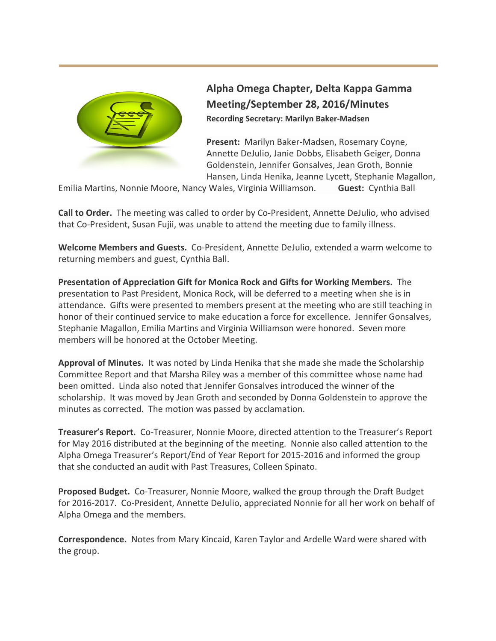

## **Alpha Omega Chapter, Delta Kappa Gamma Meeting/September 28, 2016/Minutes Recording Secretary: Marilyn Baker-Madsen**

**Present:** Marilyn Baker-Madsen, Rosemary Coyne, Annette DeJulio, Janie Dobbs, Elisabeth Geiger, Donna Goldenstein, Jennifer Gonsalves, Jean Groth, Bonnie Hansen, Linda Henika, Jeanne Lycett, Stephanie Magallon,

Emilia Martins, Nonnie Moore, Nancy Wales, Virginia Williamson. **Guest:** Cynthia Ball

**Call to Order.** The meeting was called to order by Co-President, Annette DeJulio, who advised that Co-President, Susan Fujii, was unable to attend the meeting due to family illness.

**Welcome Members and Guests.** Co-President, Annette DeJulio, extended a warm welcome to returning members and guest, Cynthia Ball.

**Presentation of Appreciation Gift for Monica Rock and Gifts for Working Members.** The presentation to Past President, Monica Rock, will be deferred to a meeting when she is in attendance. Gifts were presented to members present at the meeting who are still teaching in honor of their continued service to make education a force for excellence. Jennifer Gonsalves, Stephanie Magallon, Emilia Martins and Virginia Williamson were honored. Seven more members will be honored at the October Meeting.

**Approval of Minutes.** It was noted by Linda Henika that she made she made the Scholarship Committee Report and that Marsha Riley was a member of this committee whose name had been omitted. Linda also noted that Jennifer Gonsalves introduced the winner of the scholarship. It was moved by Jean Groth and seconded by Donna Goldenstein to approve the minutes as corrected. The motion was passed by acclamation.

**Treasurer's Report.** Co-Treasurer, Nonnie Moore, directed attention to the Treasurer's Report for May 2016 distributed at the beginning of the meeting. Nonnie also called attention to the Alpha Omega Treasurer's Report/End of Year Report for 2015-2016 and informed the group that she conducted an audit with Past Treasures, Colleen Spinato.

**Proposed Budget.** Co-Treasurer, Nonnie Moore, walked the group through the Draft Budget for 2016-2017. Co-President, Annette DeJulio, appreciated Nonnie for all her work on behalf of Alpha Omega and the members.

**Correspondence.** Notes from Mary Kincaid, Karen Taylor and Ardelle Ward were shared with the group.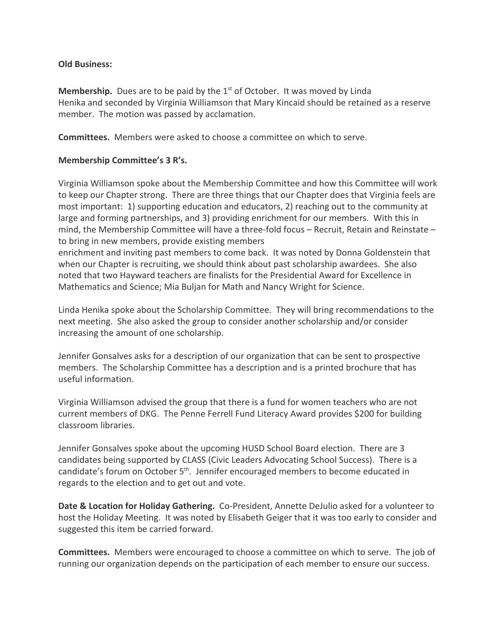#### **Old Business:**

**Membership.** Dues are to be paid by the 1<sup>st</sup> of October. It was moved by Linda Henika and seconded by Virginia Williamson that Mary Kincaid should be retained as a reserve member. The motion was passed by acclamation.

**Committees.** Members were asked to choose a committee on which to serve.

#### **Membership Committee's 3 R's.**

Virginia Williamson spoke about the Membership Committee and how this Committee will work to keep our Chapter strong. There are three things that our Chapter does that Virginia feels are most important: 1) supporting education and educators, 2) reaching out to the community at large and forming partnerships, and 3) providing enrichment for our members. With this in mind, the Membership Committee will have a three-fold focus – Recruit, Retain and Reinstate – to bring in new members, provide existing members

enrichment and inviting past members to come back. It was noted by Donna Goldenstein that when our Chapter is recruiting, we should think about past scholarship awardees. She also noted that two Hayward teachers are finalists for the Presidential Award for Excellence in Mathematics and Science; Mia Buljan for Math and Nancy Wright for Science.

Linda Henika spoke about the Scholarship Committee. They will bring recommendations to the next meeting. She also asked the group to consider another scholarship and/or consider increasing the amount of one scholarship.

Jennifer Gonsalves asks for a description of our organization that can be sent to prospective members. The Scholarship Committee has a description and is a printed brochure that has useful information.

Virginia Williamson advised the group that there is a fund for women teachers who are not current members of DKG. The Penne Ferrell Fund Literacy Award provides \$200 for building classroom libraries.

Jennifer Gonsalves spoke about the upcoming HUSD School Board election. There are 3 candidates being supported by CLASS (Civic Leaders Advocating School Success). There is a candidate's forum on October 5<sup>th</sup>. Jennifer encouraged members to become educated in regards to the election and to get out and vote.

**Date & Location for Holiday Gathering.** Co-President, Annette DeJulio asked for a volunteer to host the Holiday Meeting. It was noted by Elisabeth Geiger that it was too early to consider and suggested this item be carried forward.

**Committees.** Members were encouraged to choose a committee on which to serve. The job of running our organization depends on the participation of each member to ensure our success.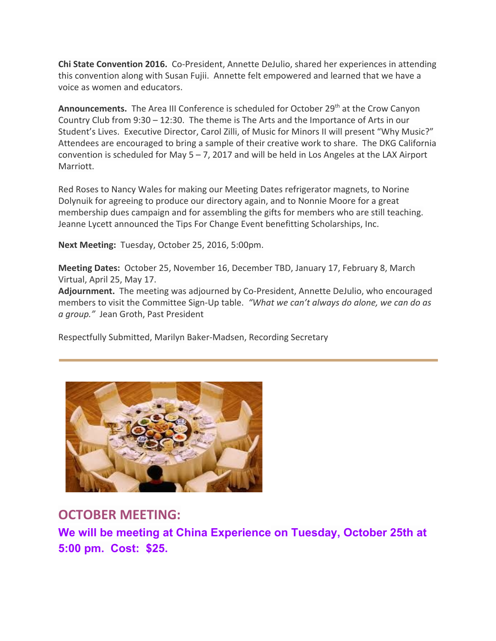**Chi State Convention 2016.** Co-President, Annette DeJulio, shared her experiences in attending this convention along with Susan Fujii. Annette felt empowered and learned that we have a voice as women and educators.

**Announcements.** The Area III Conference is scheduled for October 29<sup>th</sup> at the Crow Canyon Country Club from 9:30 – 12:30. The theme is The Arts and the Importance of Arts in our Student's Lives. Executive Director, Carol Zilli, of Music for Minors II will present "Why Music?" Attendees are encouraged to bring a sample of their creative work to share. The DKG California convention is scheduled for May  $5 - 7$ , 2017 and will be held in Los Angeles at the LAX Airport Marriott.

Red Roses to Nancy Wales for making our Meeting Dates refrigerator magnets, to Norine Dolynuik for agreeing to produce our directory again, and to Nonnie Moore for a great membership dues campaign and for assembling the gifts for members who are still teaching. Jeanne Lycett announced the Tips For Change Event benefitting Scholarships, Inc.

**Next Meeting:** Tuesday, October 25, 2016, 5:00pm.

**Meeting Dates:** October 25, November 16, December TBD, January 17, February 8, March Virtual, April 25, May 17.

**Adjournment.** The meeting was adjourned by Co-President, Annette DeJulio, who encouraged members to visit the Committee Sign-Up table. *"What we can't always do alone, we can do as a group."* Jean Groth, Past President

Respectfully Submitted, Marilyn Baker-Madsen, Recording Secretary



## **OCTOBER MEETING:**

**We will be meeting at China Experience on Tuesday, October 25th at 5:00 pm. Cost: \$25.**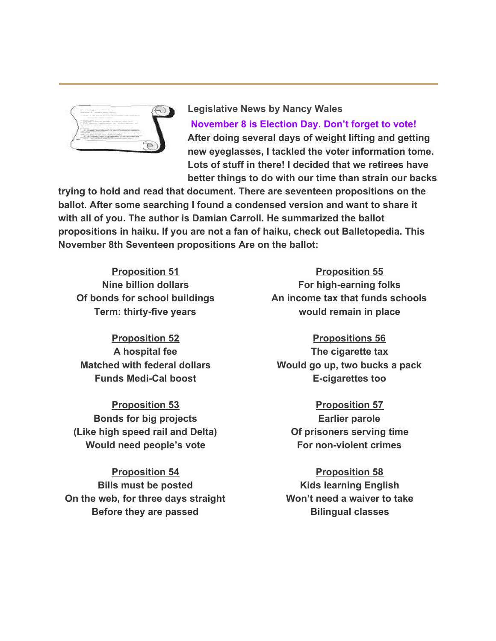

**Legislative News by Nancy Wales November 8 is Election Day. Don't forget to vote! After doing several days of weight lifting and getting new eyeglasses, I tackled the voter information tome. Lots of stuff in there! I decided that we retirees have better things to do with our time than strain our backs**

**trying to hold and read that document. There are seventeen propositions on the ballot. After some searching I found a condensed version and want to share it with all of you. The author is Damian Carroll. He summarized the ballot propositions in haiku. If you are not a fan of haiku, check out Balletopedia. This November 8th Seventeen propositions Are on the ballot:**

**Proposition 51 Nine billion dollars Of bonds for school buildings Term: thirty-five years**

**Proposition 52 A hospital fee Matched with federal dollars Funds Medi-Cal boost**

**Proposition 53 Bonds for big projects (Like high speed rail and Delta) Would need people's vote**

**Proposition 54 Bills must be posted On the web, for three days straight Before they are passed**

**Proposition 55 For high-earning folks An income tax that funds schools would remain in place**

**Propositions 56 The cigarette tax Would go up, two bucks a pack E-cigarettes too**

**Proposition 57 Earlier parole Of prisoners serving time For non-violent crimes**

**Proposition 58 Kids learning English Won't need a waiver to take Bilingual classes**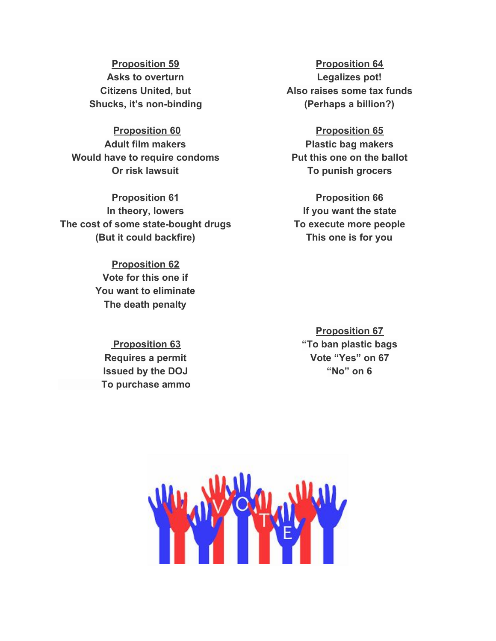**Proposition 59 Asks to overturn Citizens United, but Shucks, it's non-binding**

**Proposition 60 Adult film makers Would have to require condoms Or risk lawsuit**

**Proposition 61 In theory, lowers The cost of some state-bought drugs (But it could backfire)**

> **Proposition 62 Vote for this one if You want to eliminate The death penalty**

 **Proposition 63 Requires a permit Issued by the DOJ To purchase ammo**

**Proposition 64 Legalizes pot! Also raises some tax funds (Perhaps a billion?)**

**Proposition 65 Plastic bag makers Put this one on the ballot To punish grocers**

**Proposition 66 If you want the state To execute more people This one is for you**

**Proposition 67 "To ban plastic bags Vote "Yes" on 67 "No" on 6**

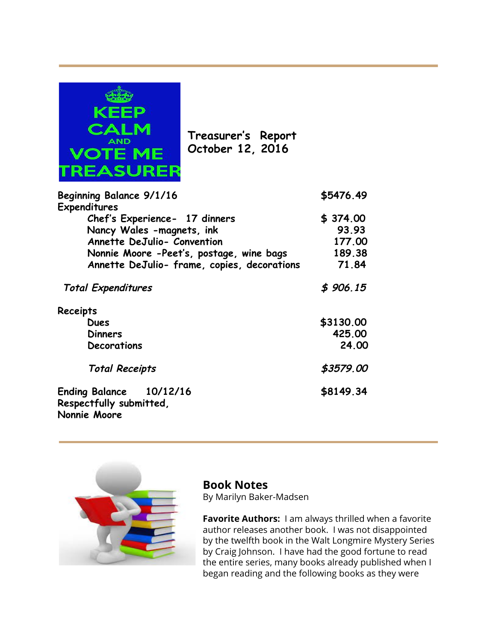

**Treasurer's Report October 12, 2016**

| Beginning Balance 9/1/16<br><b>Expenditures</b>                    | \$5476.49 |
|--------------------------------------------------------------------|-----------|
| Chef's Experience- 17 dinners                                      | \$374.00  |
| Nancy Wales -magnets, ink                                          | 93.93     |
| Annette DeJulio- Convention                                        | 177.00    |
| Nonnie Moore -Peet's, postage, wine bags                           | 189.38    |
| Annette DeJulio- frame, copies, decorations                        | 71.84     |
| <b>Total Expenditures</b>                                          | \$906.15  |
| Receipts                                                           |           |
| <b>Dues</b>                                                        | \$3130.00 |
| <b>Dinners</b>                                                     | 425.00    |
| Decorations                                                        | 24,00     |
| <b>Total Receipts</b>                                              | \$3579.00 |
| Ending Balance 10/12/16<br>Respectfully submitted,<br>Nonnie Moore | \$8149.34 |



## **Book Notes**

By Marilyn Baker-Madsen

**Favorite Authors:** I am always thrilled when a favorite author releases another book. I was not disappointed by the twelfth book in the Walt Longmire Mystery Series by Craig Johnson. I have had the good fortune to read the entire series, many books already published when I began reading and the following books as they were